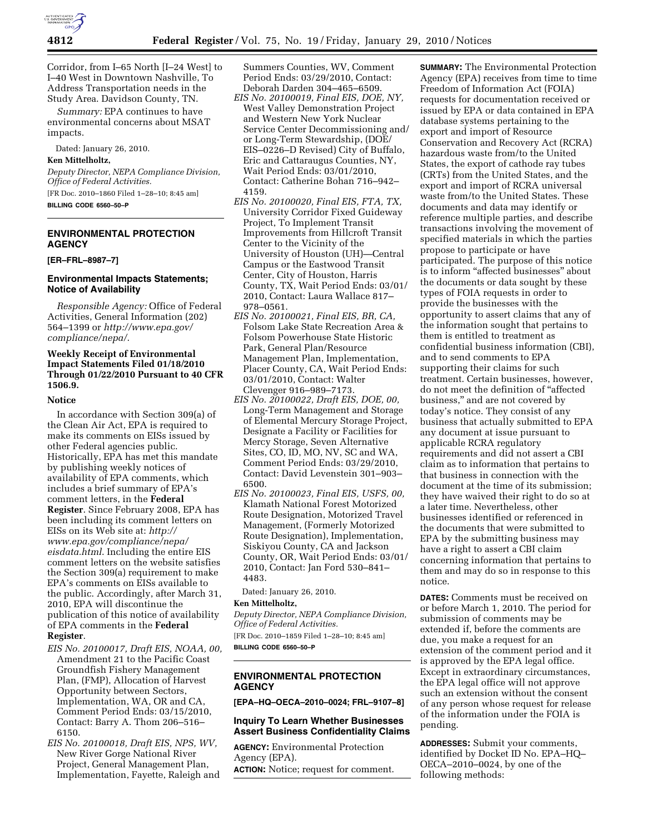

Corridor, from I–65 North [I–24 West] to I–40 West in Downtown Nashville, To Address Transportation needs in the Study Area. Davidson County, TN.

*Summary:* EPA continues to have environmental concerns about MSAT impacts.

Dated: January 26, 2010.

#### **Ken Mittelholtz,**

*Deputy Director, NEPA Compliance Division, Office of Federal Activities.*  [FR Doc. 2010–1860 Filed 1–28–10; 8:45 am]

**BILLING CODE 6560–50–P** 

## **ENVIRONMENTAL PROTECTION AGENCY**

**[ER–FRL–8987–7]** 

## **Environmental Impacts Statements; Notice of Availability**

*Responsible Agency:* Office of Federal Activities, General Information (202) 564–1399 or *http://www.epa.gov/ compliance/nepa/*.

## **Weekly Receipt of Environmental Impact Statements Filed 01/18/2010 Through 01/22/2010 Pursuant to 40 CFR 1506.9.**

#### **Notice**

In accordance with Section 309(a) of the Clean Air Act, EPA is required to make its comments on EISs issued by other Federal agencies public. Historically, EPA has met this mandate by publishing weekly notices of availability of EPA comments, which includes a brief summary of EPA's comment letters, in the **Federal Register**. Since February 2008, EPA has been including its comment letters on EISs on its Web site at: *http:// www.epa.gov/compliance/nepa/ eisdata.html*. Including the entire EIS comment letters on the website satisfies the Section 309(a) requirement to make EPA's comments on EISs available to the public. Accordingly, after March 31, 2010, EPA will discontinue the publication of this notice of availability of EPA comments in the **Federal Register**.

- *EIS No. 20100017, Draft EIS, NOAA, 00,*  Amendment 21 to the Pacific Coast Groundfish Fishery Management Plan, (FMP), Allocation of Harvest Opportunity between Sectors, Implementation, WA, OR and CA, Comment Period Ends: 03/15/2010, Contact: Barry A. Thom 206–516– 6150.
- *EIS No. 20100018, Draft EIS, NPS, WV,*  New River Gorge National River Project, General Management Plan, Implementation, Fayette, Raleigh and

Summers Counties, WV, Comment Period Ends: 03/29/2010, Contact: Deborah Darden 304–465–6509.

- *EIS No. 20100019, Final EIS, DOE, NY,*  West Valley Demonstration Project and Western New York Nuclear Service Center Decommissioning and/ or Long-Term Stewardship, (DOE/ EIS–0226–D Revised) City of Buffalo, Eric and Cattaraugus Counties, NY, Wait Period Ends: 03/01/2010, Contact: Catherine Bohan 716–942– 4159.
- *EIS No. 20100020, Final EIS, FTA, TX,*  University Corridor Fixed Guideway Project, To Implement Transit Improvements from Hillcroft Transit Center to the Vicinity of the University of Houston (UH)—Central Campus or the Eastwood Transit Center, City of Houston, Harris County, TX, Wait Period Ends: 03/01/ 2010, Contact: Laura Wallace 817– 978–0561.
- *EIS No. 20100021, Final EIS, BR, CA,*  Folsom Lake State Recreation Area & Folsom Powerhouse State Historic Park, General Plan/Resource Management Plan, Implementation, Placer County, CA, Wait Period Ends: 03/01/2010, Contact: Walter Clevenger 916–989–7173.
- *EIS No. 20100022, Draft EIS, DOE, 00,*  Long-Term Management and Storage of Elemental Mercury Storage Project, Designate a Facility or Facilities for Mercy Storage, Seven Alternative Sites, CO, ID, MO, NV, SC and WA, Comment Period Ends: 03/29/2010, Contact: David Levenstein 301–903– 6500.
- *EIS No. 20100023, Final EIS, USFS, 00,*  Klamath National Forest Motorized Route Designation, Motorized Travel Management, (Formerly Motorized Route Designation), Implementation, Siskiyou County, CA and Jackson County, OR, Wait Period Ends: 03/01/ 2010, Contact: Jan Ford 530–841– 4483.

Dated: January 26, 2010.

## **Ken Mittelholtz,**

*Deputy Director, NEPA Compliance Division, Office of Federal Activities.* 

[FR Doc. 2010–1859 Filed 1–28–10; 8:45 am] **BILLING CODE 6560–50–P** 

## **ENVIRONMENTAL PROTECTION AGENCY**

**[EPA–HQ–OECA–2010–0024; FRL–9107–8]** 

## **Inquiry To Learn Whether Businesses Assert Business Confidentiality Claims**

**AGENCY:** Environmental Protection Agency (EPA).

**ACTION:** Notice; request for comment.

**SUMMARY:** The Environmental Protection Agency (EPA) receives from time to time Freedom of Information Act (FOIA) requests for documentation received or issued by EPA or data contained in EPA database systems pertaining to the export and import of Resource Conservation and Recovery Act (RCRA) hazardous waste from/to the United States, the export of cathode ray tubes (CRTs) from the United States, and the export and import of RCRA universal waste from/to the United States. These documents and data may identify or reference multiple parties, and describe transactions involving the movement of specified materials in which the parties propose to participate or have participated. The purpose of this notice is to inform ''affected businesses'' about the documents or data sought by these types of FOIA requests in order to provide the businesses with the opportunity to assert claims that any of the information sought that pertains to them is entitled to treatment as confidential business information (CBI), and to send comments to EPA supporting their claims for such treatment. Certain businesses, however, do not meet the definition of ''affected business,'' and are not covered by today's notice. They consist of any business that actually submitted to EPA any document at issue pursuant to applicable RCRA regulatory requirements and did not assert a CBI claim as to information that pertains to that business in connection with the document at the time of its submission; they have waived their right to do so at a later time. Nevertheless, other businesses identified or referenced in the documents that were submitted to EPA by the submitting business may have a right to assert a CBI claim concerning information that pertains to them and may do so in response to this notice.

**DATES:** Comments must be received on or before March 1, 2010. The period for submission of comments may be extended if, before the comments are due, you make a request for an extension of the comment period and it is approved by the EPA legal office. Except in extraordinary circumstances, the EPA legal office will not approve such an extension without the consent of any person whose request for release of the information under the FOIA is pending.

**ADDRESSES:** Submit your comments, identified by Docket ID No. EPA–HQ– OECA–2010–0024, by one of the following methods: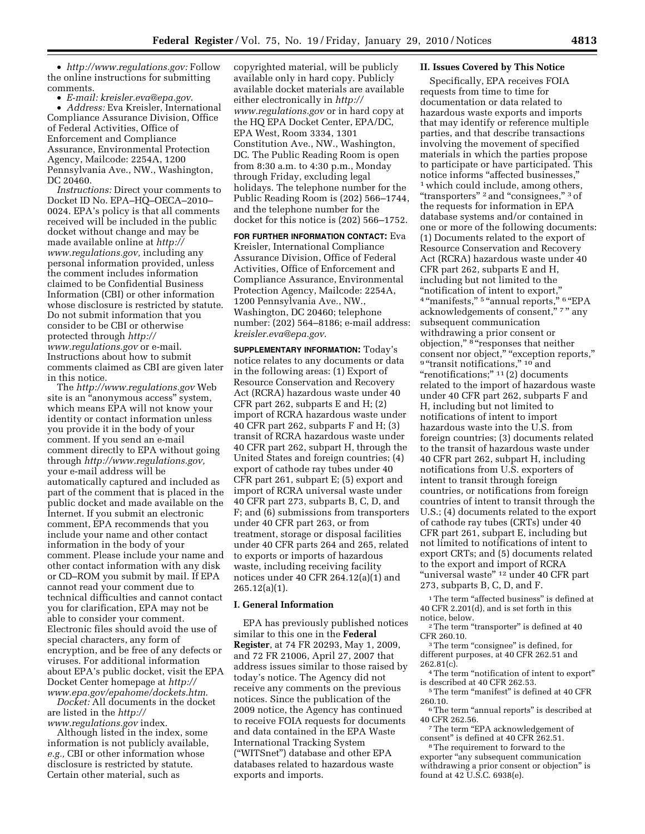• *http://www.regulations.gov:* Follow the online instructions for submitting comments.

• *E-mail: kreisler.eva@epa.gov*.

• *Address:* Eva Kreisler, International Compliance Assurance Division, Office of Federal Activities, Office of Enforcement and Compliance Assurance, Environmental Protection Agency, Mailcode: 2254A, 1200 Pennsylvania Ave., NW., Washington, DC 20460.

*Instructions:* Direct your comments to Docket ID No. EPA–HQ–OECA–2010– 0024. EPA's policy is that all comments received will be included in the public docket without change and may be made available online at *http:// www.regulations.gov,* including any personal information provided, unless the comment includes information claimed to be Confidential Business Information (CBI) or other information whose disclosure is restricted by statute. Do not submit information that you consider to be CBI or otherwise protected through *http:// www.regulations.gov* or e-mail. Instructions about how to submit comments claimed as CBI are given later in this notice.

The *http://www.regulations.gov* Web site is an "anonymous access" system, which means EPA will not know your identity or contact information unless you provide it in the body of your comment. If you send an e-mail comment directly to EPA without going through *http://www.regulations.gov,*  your e-mail address will be automatically captured and included as part of the comment that is placed in the public docket and made available on the Internet. If you submit an electronic comment, EPA recommends that you include your name and other contact information in the body of your comment. Please include your name and other contact information with any disk or CD–ROM you submit by mail. If EPA cannot read your comment due to technical difficulties and cannot contact you for clarification, EPA may not be able to consider your comment. Electronic files should avoid the use of special characters, any form of encryption, and be free of any defects or viruses. For additional information about EPA's public docket, visit the EPA Docket Center homepage at *http:// www.epa.gov/epahome/dockets.htm*.

*Docket:* All documents in the docket are listed in the *http:// www.regulations.gov* index.

Although listed in the index, some information is not publicly available, *e.g.,* CBI or other information whose disclosure is restricted by statute. Certain other material, such as

copyrighted material, will be publicly available only in hard copy. Publicly available docket materials are available either electronically in *http:// www.regulations.gov* or in hard copy at the HQ EPA Docket Center, EPA/DC, EPA West, Room 3334, 1301 Constitution Ave., NW., Washington, DC. The Public Reading Room is open from 8:30 a.m. to 4:30 p.m., Monday through Friday, excluding legal holidays. The telephone number for the Public Reading Room is (202) 566–1744, and the telephone number for the docket for this notice is (202) 566–1752.

**FOR FURTHER INFORMATION CONTACT:** Eva Kreisler, International Compliance Assurance Division, Office of Federal Activities, Office of Enforcement and Compliance Assurance, Environmental Protection Agency, Mailcode: 2254A, 1200 Pennsylvania Ave., NW., Washington, DC 20460; telephone number: (202) 564–8186; e-mail address: *kreisler.eva@epa.gov*.

**SUPPLEMENTARY INFORMATION:** Today's notice relates to any documents or data in the following areas: (1) Export of Resource Conservation and Recovery Act (RCRA) hazardous waste under 40 CFR part 262, subparts E and H; (2) import of RCRA hazardous waste under 40 CFR part 262, subparts F and H; (3) transit of RCRA hazardous waste under 40 CFR part 262, subpart H, through the United States and foreign countries; (4) export of cathode ray tubes under 40 CFR part 261, subpart E; (5) export and import of RCRA universal waste under 40 CFR part 273, subparts B, C, D, and F; and (6) submissions from transporters under 40 CFR part 263, or from treatment, storage or disposal facilities under 40 CFR parts 264 and 265, related to exports or imports of hazardous waste, including receiving facility notices under 40 CFR 264.12(a)(1) and  $265.12(a)(1)$ .

#### **I. General Information**

EPA has previously published notices similar to this one in the **Federal Register**, at 74 FR 20293, May 1, 2009, and 72 FR 21006, April 27, 2007 that address issues similar to those raised by today's notice. The Agency did not receive any comments on the previous notices. Since the publication of the 2009 notice, the Agency has continued to receive FOIA requests for documents and data contained in the EPA Waste International Tracking System (''WITSnet'') database and other EPA databases related to hazardous waste exports and imports.

# **II. Issues Covered by This Notice**

Specifically, EPA receives FOIA requests from time to time for documentation or data related to hazardous waste exports and imports that may identify or reference multiple parties, and that describe transactions involving the movement of specified materials in which the parties propose to participate or have participated. This notice informs "affected businesses," 1 which could include, among others, "transporters" <sup>2</sup> and "consignees," <sup>3</sup> of the requests for information in EPA database systems and/or contained in one or more of the following documents: (1) Documents related to the export of Resource Conservation and Recovery Act (RCRA) hazardous waste under 40 CFR part 262, subparts E and H, including but not limited to the ''notification of intent to export,'' <sup>4</sup> "manifests," <sup>5</sup> "annual reports," <sup>6</sup> "EPA acknowledgements of consent," 7" any subsequent communication withdrawing a prior consent or objection," <sup>8</sup> "responses that neither consent nor object," "exception reports," <sup>9</sup> "transit notifications," <sup>10</sup> and "renotifications;" <sup>11</sup>(2) documents related to the import of hazardous waste under 40 CFR part 262, subparts F and H, including but not limited to notifications of intent to import hazardous waste into the U.S. from foreign countries; (3) documents related to the transit of hazardous waste under 40 CFR part 262, subpart H, including notifications from U.S. exporters of intent to transit through foreign countries, or notifications from foreign countries of intent to transit through the U.S.; (4) documents related to the export of cathode ray tubes (CRTs) under 40 CFR part 261, subpart E, including but not limited to notifications of intent to export CRTs; and (5) documents related to the export and import of RCRA "universal waste" <sup>12</sup> under 40 CFR part 273, subparts B, C, D, and F.

<sup>1</sup>The term "affected business" is defined at 40 CFR 2.201(d), and is set forth in this

notice, below.<br><sup>2</sup>The term "transporter" is defined at 40<br>CFR 260.10.

<sup>3</sup>The term "consignee" is defined, for different purposes, at 40 CFR 262.51 and  $262.81(c)$ .

<sup>4</sup> The term "notification of intent to export" is described at 40 CFR 262.53.

 $\frac{5 \text{ The term "manifest" is defined at 40 CFR}}{260.10}$ .

<sup>6</sup>The term "annual reports" is described at 40 CFR 262.56. 7The term ''EPA acknowledgement of

consent'' is defined at 40 CFR 262.51. 8The requirement to forward to the

exporter ''any subsequent communication withdrawing a prior consent or objection'' is found at 42 U.S.C. 6938(e).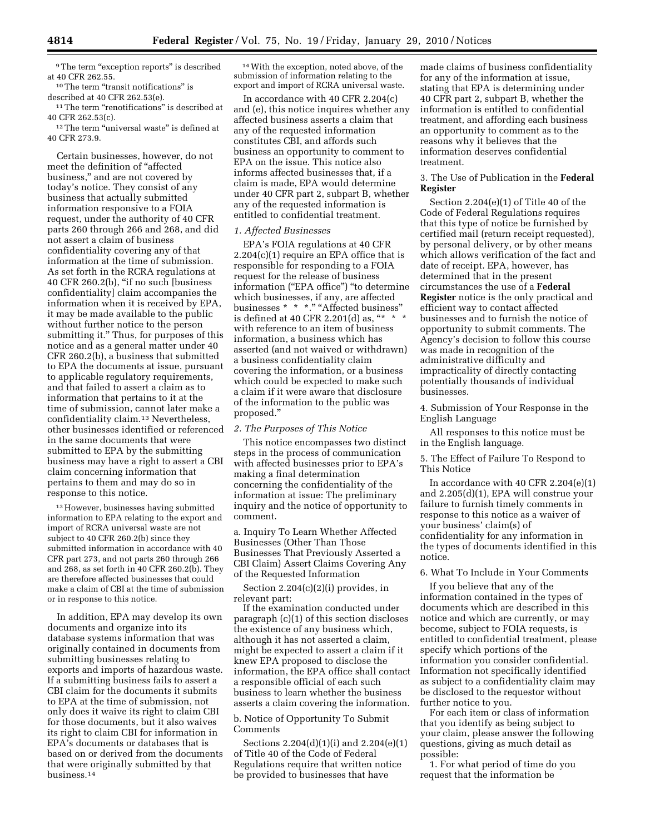<sup>9</sup>The term "exception reports" is described at 40 CFR 262.55.<br> $10$  The term "transit notifications" is

described at 40 CFR 262.53(e).<br><sup>11</sup> The term "renotifications" is described at

40 CFR 262.53(c).<br> $12$  The term "universal waste" is defined at 40 CFR 273.9.

Certain businesses, however, do not meet the definition of ''affected business,'' and are not covered by today's notice. They consist of any business that actually submitted information responsive to a FOIA request, under the authority of 40 CFR parts 260 through 266 and 268, and did not assert a claim of business confidentiality covering any of that information at the time of submission. As set forth in the RCRA regulations at 40 CFR 260.2(b), ''if no such [business confidentiality] claim accompanies the information when it is received by EPA, it may be made available to the public without further notice to the person submitting it.'' Thus, for purposes of this notice and as a general matter under 40 CFR 260.2(b), a business that submitted to EPA the documents at issue, pursuant to applicable regulatory requirements, and that failed to assert a claim as to information that pertains to it at the time of submission, cannot later make a confidentiality claim.13 Nevertheless, other businesses identified or referenced in the same documents that were submitted to EPA by the submitting business may have a right to assert a CBI claim concerning information that pertains to them and may do so in response to this notice.

13However, businesses having submitted information to EPA relating to the export and import of RCRA universal waste are not subject to 40 CFR 260.2(b) since they submitted information in accordance with 40 CFR part 273, and not parts 260 through 266 and 268, as set forth in 40 CFR 260.2(b). They are therefore affected businesses that could make a claim of CBI at the time of submission or in response to this notice.

In addition, EPA may develop its own documents and organize into its database systems information that was originally contained in documents from submitting businesses relating to exports and imports of hazardous waste. If a submitting business fails to assert a CBI claim for the documents it submits to EPA at the time of submission, not only does it waive its right to claim CBI for those documents, but it also waives its right to claim CBI for information in EPA's documents or databases that is based on or derived from the documents that were originally submitted by that business.14

14With the exception, noted above, of the submission of information relating to the export and import of RCRA universal waste.

In accordance with 40 CFR 2.204(c) and (e), this notice inquires whether any affected business asserts a claim that any of the requested information constitutes CBI, and affords such business an opportunity to comment to EPA on the issue. This notice also informs affected businesses that, if a claim is made, EPA would determine under 40 CFR part 2, subpart B, whether any of the requested information is entitled to confidential treatment.

#### *1. Affected Businesses*

EPA's FOIA regulations at 40 CFR 2.204(c)(1) require an EPA office that is responsible for responding to a FOIA request for the release of business information (''EPA office'') ''to determine which businesses, if any, are affected businesses \* \* \*." "Affected business" is defined at 40 CFR 2.201(d) as,  $4 \cdot 1 + 1$ with reference to an item of business information, a business which has asserted (and not waived or withdrawn) a business confidentiality claim covering the information, or a business which could be expected to make such a claim if it were aware that disclosure of the information to the public was proposed.''

#### *2. The Purposes of This Notice*

This notice encompasses two distinct steps in the process of communication with affected businesses prior to EPA's making a final determination concerning the confidentiality of the information at issue: The preliminary inquiry and the notice of opportunity to comment.

a. Inquiry To Learn Whether Affected Businesses (Other Than Those Businesses That Previously Asserted a CBI Claim) Assert Claims Covering Any of the Requested Information

Section 2.204(c)(2)(i) provides, in relevant part:

If the examination conducted under paragraph (c)(1) of this section discloses the existence of any business which, although it has not asserted a claim, might be expected to assert a claim if it knew EPA proposed to disclose the information, the EPA office shall contact a responsible official of each such business to learn whether the business asserts a claim covering the information.

b. Notice of Opportunity To Submit Comments

Sections 2.204(d)(1)(i) and 2.204(e)(1) of Title 40 of the Code of Federal Regulations require that written notice be provided to businesses that have

made claims of business confidentiality for any of the information at issue, stating that EPA is determining under 40 CFR part 2, subpart B, whether the information is entitled to confidential treatment, and affording each business an opportunity to comment as to the reasons why it believes that the information deserves confidential treatment.

### 3. The Use of Publication in the **Federal Register**

Section 2.204(e)(1) of Title 40 of the Code of Federal Regulations requires that this type of notice be furnished by certified mail (return receipt requested), by personal delivery, or by other means which allows verification of the fact and date of receipt. EPA, however, has determined that in the present circumstances the use of a **Federal Register** notice is the only practical and efficient way to contact affected businesses and to furnish the notice of opportunity to submit comments. The Agency's decision to follow this course was made in recognition of the administrative difficulty and impracticality of directly contacting potentially thousands of individual businesses.

4. Submission of Your Response in the English Language

All responses to this notice must be in the English language.

5. The Effect of Failure To Respond to This Notice

In accordance with 40 CFR  $2.204(e)(1)$ and 2.205(d)(1), EPA will construe your failure to furnish timely comments in response to this notice as a waiver of your business' claim(s) of confidentiality for any information in the types of documents identified in this notice.

#### 6. What To Include in Your Comments

If you believe that any of the information contained in the types of documents which are described in this notice and which are currently, or may become, subject to FOIA requests, is entitled to confidential treatment, please specify which portions of the information you consider confidential. Information not specifically identified as subject to a confidentiality claim may be disclosed to the requestor without further notice to you.

For each item or class of information that you identify as being subject to your claim, please answer the following questions, giving as much detail as possible:

1. For what period of time do you request that the information be